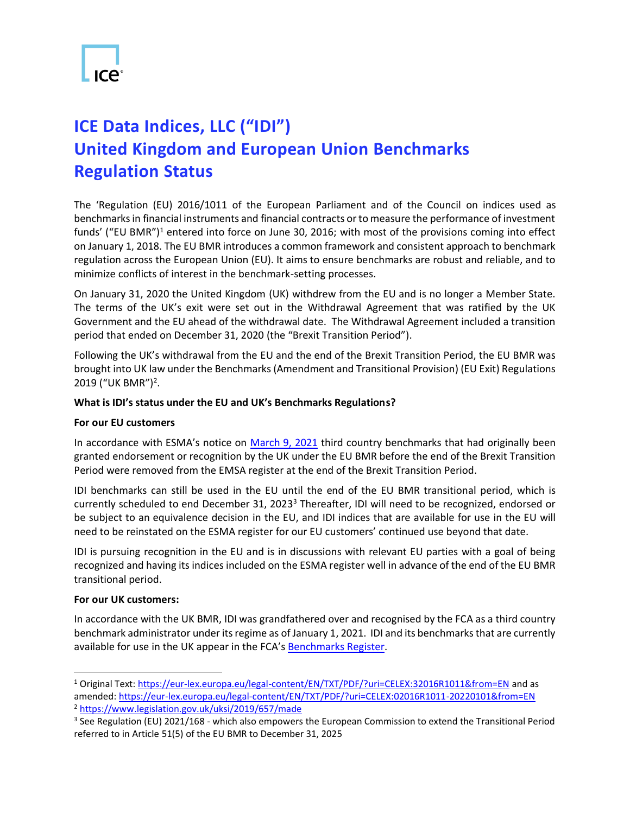

## **ICE Data Indices, LLC ("IDI") United Kingdom and European Union Benchmarks Regulation Status**

The 'Regulation (EU) 2016/1011 of the European Parliament and of the Council on indices used as benchmarks in financial instruments and financial contracts or to measure the performance of investment funds' ("EU BMR")<sup>1</sup> entered into force on June 30, 2016; with most of the provisions coming into effect on January 1, 2018. The EU BMR introduces a common framework and consistent approach to benchmark regulation across the European Union (EU). It aims to ensure benchmarks are robust and reliable, and to minimize conflicts of interest in the benchmark-setting processes.

On January 31, 2020 the United Kingdom (UK) withdrew from the EU and is no longer a Member State. The terms of the UK's exit were set out in the Withdrawal Agreement that was ratified by the UK Government and the EU ahead of the withdrawal date. The Withdrawal Agreement included a transition period that ended on December 31, 2020 (the "Brexit Transition Period").

Following the UK's withdrawal from the EU and the end of the Brexit Transition Period, the EU BMR was brought into UK law under the Benchmarks (Amendment and Transitional Provision) (EU Exit) Regulations 2019 ("UK BMR") 2 .

## **What is IDI's status under the EU and UK's Benchmarks Regulations?**

## **For our EU customers**

In accordance with ESMA's notice on [March 9, 2021](https://www.esma.europa.eu/sites/default/files/library/esma80_-187-881_bmr_brexit_statement_updated.pdf) third country benchmarks that had originally been granted endorsement or recognition by the UK under the EU BMR before the end of the Brexit Transition Period were removed from the EMSA register at the end of the Brexit Transition Period.

IDI benchmarks can still be used in the EU until the end of the EU BMR transitional period, which is currently scheduled to end December 31, 2023<sup>3</sup> Thereafter, IDI will need to be recognized, endorsed or be subject to an equivalence decision in the EU, and IDI indices that are available for use in the EU will need to be reinstated on the ESMA register for our EU customers' continued use beyond that date.

IDI is pursuing recognition in the EU and is in discussions with relevant EU parties with a goal of being recognized and having its indices included on the ESMA register well in advance of the end of the EU BMR transitional period.

## **For our UK customers:**

In accordance with the UK BMR, IDI was grandfathered over and recognised by the FCA as a third country benchmark administrator under its regime as of January 1, 2021. IDI and its benchmarks that are currently available for use in the UK appear in the FCA's [Benchmarks Register.](https://register.fca.org.uk/BenchmarksRegister/s/?pageTab=Administrators)

<sup>1</sup> Original Text:<https://eur-lex.europa.eu/legal-content/EN/TXT/PDF/?uri=CELEX:32016R1011&from=EN> and as amended[: https://eur-lex.europa.eu/legal-content/EN/TXT/PDF/?uri=CELEX:02016R1011-20220101&from=EN](https://eur-lex.europa.eu/legal-content/EN/TXT/PDF/?uri=CELEX:02016R1011-20220101&from=EN) <sup>2</sup> <https://www.legislation.gov.uk/uksi/2019/657/made>

<sup>3</sup> See Regulation (EU) 2021/168 - which also empowers the European Commission to extend the Transitional Period referred to in Article 51(5) of the EU BMR to December 31, 2025